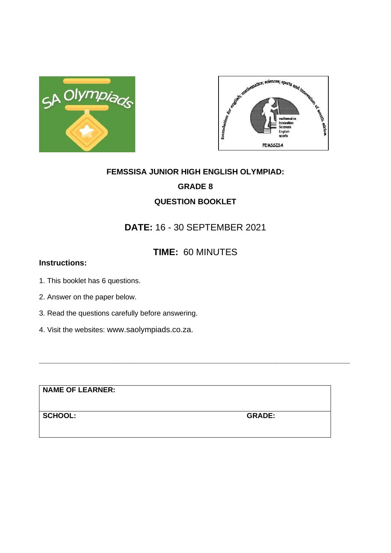



# **FEMSSISA JUNIOR HIGH ENGLISH OLYMPIAD: GRADE 8 QUESTION BOOKLET**

## **DATE:** 16 - 30 SEPTEMBER 2021

## **TIME:** 60 MINUTES

**\_\_\_\_\_\_\_\_\_\_\_\_\_\_\_\_\_\_\_\_\_\_\_\_\_\_\_\_\_\_\_\_\_\_\_\_\_\_\_\_\_\_\_\_\_\_\_\_\_\_\_\_\_\_\_\_\_\_\_\_\_\_\_\_\_\_\_\_\_\_\_**

## **Instructions:**

- 1. This booklet has 6 questions.
- 2. Answer on the paper below.
- 3. Read the questions carefully before answering.
- 4. Visit the websites: www.saolympiads.co.za.

**NAME OF LEARNER:**

**SCHOOL: GRADE:**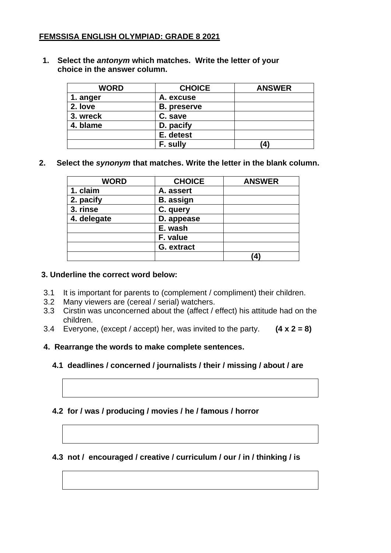### **FEMSSISA ENGLISH OLYMPIAD: GRADE 8 2021**

**1. Select the** *antonym* **which matches. Write the letter of your choice in the answer column.**

| <b>WORD</b> | <b>CHOICE</b>      | <b>ANSWER</b> |
|-------------|--------------------|---------------|
| 1. anger    | A. excuse          |               |
| 2. love     | <b>B.</b> preserve |               |
| 3. wreck    | C. save            |               |
| 4. blame    | D. pacify          |               |
|             | E. detest          |               |
|             | F. sully           | $\bf{(4)}$    |

**2. Select the** *synonym* **that matches. Write the letter in the blank column.** 

| <b>WORD</b> | <b>CHOICE</b>    | <b>ANSWER</b>     |
|-------------|------------------|-------------------|
| 1. claim    | A. assert        |                   |
| 2. pacify   | <b>B.</b> assign |                   |
| 3. rinse    | C. query         |                   |
| 4. delegate | D. appease       |                   |
|             | E. wash          |                   |
|             | F. value         |                   |
|             | G. extract       |                   |
|             |                  | $\left( 4\right)$ |

#### **3. Underline the correct word below:**

- 3.1 It is important for parents to (complement / compliment) their children.
- 3.2 Many viewers are (cereal / serial) watchers.
- 3.3 Cirstin was unconcerned about the (affect / effect) his attitude had on the children.
- 3.4 Everyone, (except / accept) her, was invited to the party. **(4 x 2 = 8)**
- **4. Rearrange the words to make complete sentences.**
	- **4.1 deadlines / concerned / journalists / their / missing / about / are**

#### **4.2 for / was / producing / movies / he / famous / horror**

#### **4.3 not / encouraged / creative / curriculum / our / in / thinking / is**